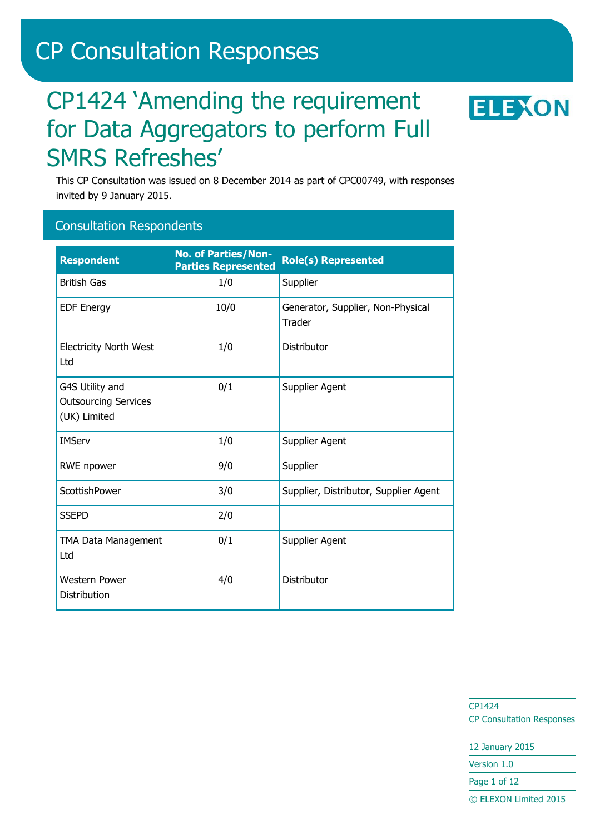# CP Consultation Responses

# CP1424 'Amending the requirement for Data Aggregators to perform Full SMRS Refreshes'



This CP Consultation was issued on 8 December 2014 as part of CPC00749, with responses invited by 9 January 2015.

#### Consultation Respondents

| <b>Respondent</b>                                              | <b>No. of Parties/Non-</b><br><b>Parties Represented</b> | <b>Role(s) Represented</b>                  |
|----------------------------------------------------------------|----------------------------------------------------------|---------------------------------------------|
| <b>British Gas</b>                                             | 1/0                                                      | Supplier                                    |
| <b>EDF Energy</b>                                              | 10/0                                                     | Generator, Supplier, Non-Physical<br>Trader |
| <b>Electricity North West</b><br>Ltd                           | 1/0                                                      | Distributor                                 |
| G4S Utility and<br><b>Outsourcing Services</b><br>(UK) Limited | 0/1                                                      | Supplier Agent                              |
| <b>IMServ</b>                                                  | 1/0                                                      | Supplier Agent                              |
| RWE npower                                                     | 9/0                                                      | Supplier                                    |
| ScottishPower                                                  | 3/0                                                      | Supplier, Distributor, Supplier Agent       |
| <b>SSEPD</b>                                                   | 2/0                                                      |                                             |
| TMA Data Management<br>Ltd                                     | 0/1                                                      | Supplier Agent                              |
| <b>Western Power</b><br>Distribution                           | 4/0                                                      | Distributor                                 |

CP1424 CP Consultation Responses

12 January 2015

Version 1.0

Page 1 of 12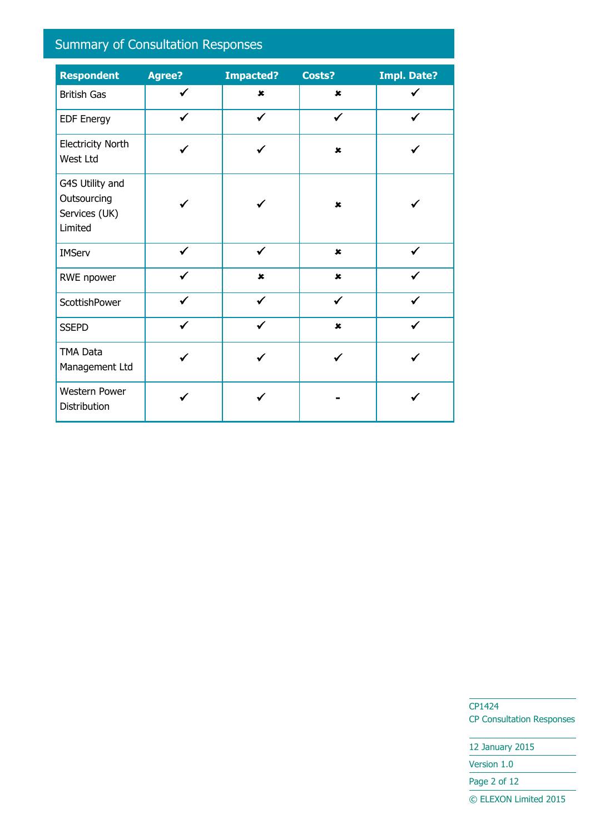## Summary of Consultation Responses

| <b>Respondent</b>                                          | <b>Agree?</b> | <b>Impacted?</b> | Costs?         | <b>Impl. Date?</b> |
|------------------------------------------------------------|---------------|------------------|----------------|--------------------|
| <b>British Gas</b>                                         | ✔             | $\pmb{\times}$   | $\pmb{\times}$ |                    |
| <b>EDF Energy</b>                                          | $\checkmark$  | $\checkmark$     | $\checkmark$   | ✓                  |
| <b>Electricity North</b><br>West Ltd                       |               |                  | $\pmb{\times}$ |                    |
| G4S Utility and<br>Outsourcing<br>Services (UK)<br>Limited |               |                  | $\mathbf x$    |                    |
| <b>IMServ</b>                                              | $\checkmark$  | ✔                | $\pmb{\times}$ | $\checkmark$       |
| RWE npower                                                 | ✔             | $\pmb{\times}$   | $\pmb{\times}$ |                    |
| ScottishPower                                              |               |                  |                |                    |
| <b>SSEPD</b>                                               |               | $\checkmark$     | $\pmb{\times}$ |                    |
| TMA Data<br>Management Ltd                                 |               |                  |                |                    |
| Western Power<br>Distribution                              |               |                  |                |                    |

CP1424 CP Consultation Responses

12 January 2015

Version 1.0

Page 2 of 12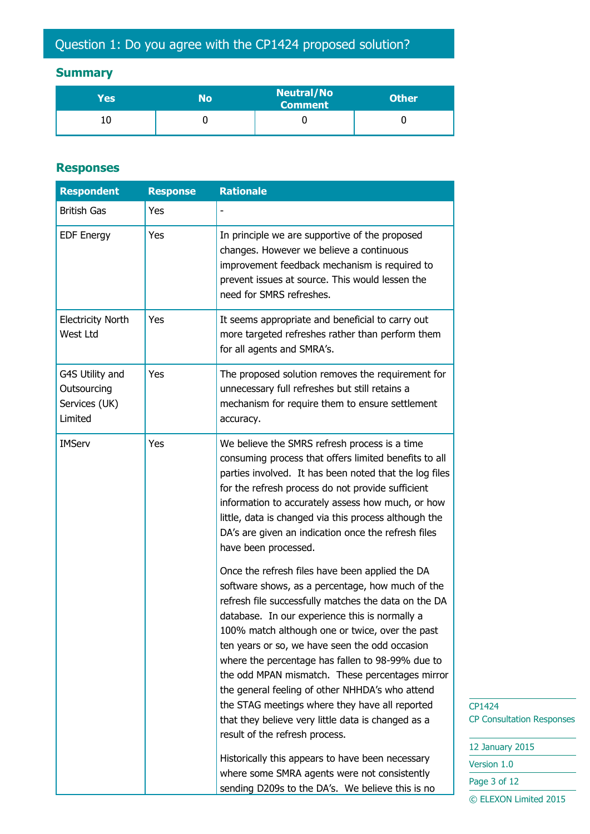## **Summary**

| Yes | No | <b>Neutral/No</b><br><b>Comment</b> | <b>Other</b> |
|-----|----|-------------------------------------|--------------|
|     |    |                                     |              |

#### **Responses**

| <b>Respondent</b>                                          | <b>Response</b> | <b>Rationale</b>                                                                                                                                                                                                                                                                                                                                                                                                                                                                                                                                                                                                       |
|------------------------------------------------------------|-----------------|------------------------------------------------------------------------------------------------------------------------------------------------------------------------------------------------------------------------------------------------------------------------------------------------------------------------------------------------------------------------------------------------------------------------------------------------------------------------------------------------------------------------------------------------------------------------------------------------------------------------|
| <b>British Gas</b>                                         | Yes             |                                                                                                                                                                                                                                                                                                                                                                                                                                                                                                                                                                                                                        |
| <b>EDF Energy</b>                                          | Yes             | In principle we are supportive of the proposed<br>changes. However we believe a continuous<br>improvement feedback mechanism is required to<br>prevent issues at source. This would lessen the<br>need for SMRS refreshes.                                                                                                                                                                                                                                                                                                                                                                                             |
| <b>Electricity North</b><br>West Ltd                       | Yes             | It seems appropriate and beneficial to carry out<br>more targeted refreshes rather than perform them<br>for all agents and SMRA's.                                                                                                                                                                                                                                                                                                                                                                                                                                                                                     |
| G4S Utility and<br>Outsourcing<br>Services (UK)<br>Limited | Yes             | The proposed solution removes the requirement for<br>unnecessary full refreshes but still retains a<br>mechanism for require them to ensure settlement<br>accuracy.                                                                                                                                                                                                                                                                                                                                                                                                                                                    |
| <b>IMServ</b>                                              | Yes             | We believe the SMRS refresh process is a time<br>consuming process that offers limited benefits to all<br>parties involved. It has been noted that the log files<br>for the refresh process do not provide sufficient<br>information to accurately assess how much, or how<br>little, data is changed via this process although the<br>DA's are given an indication once the refresh files<br>have been processed.                                                                                                                                                                                                     |
|                                                            |                 | Once the refresh files have been applied the DA<br>software shows, as a percentage, how much of the<br>refresh file successfully matches the data on the DA<br>database. In our experience this is normally a<br>100% match although one or twice, over the past<br>ten years or so, we have seen the odd occasion<br>where the percentage has fallen to 98-99% due to<br>the odd MPAN mismatch. These percentages mirror<br>the general feeling of other NHHDA's who attend<br>the STAG meetings where they have all reported<br>that they believe very little data is changed as a<br>result of the refresh process. |
|                                                            |                 | Historically this appears to have been necessary<br>where some SMRA agents were not consistently<br>sending D209s to the DA's. We believe this is no                                                                                                                                                                                                                                                                                                                                                                                                                                                                   |

CP1424 CP Consultation Responses

| 12 January 2015       |
|-----------------------|
| Version 1.0           |
| Page 3 of 12          |
| © ELEXON Limited 2015 |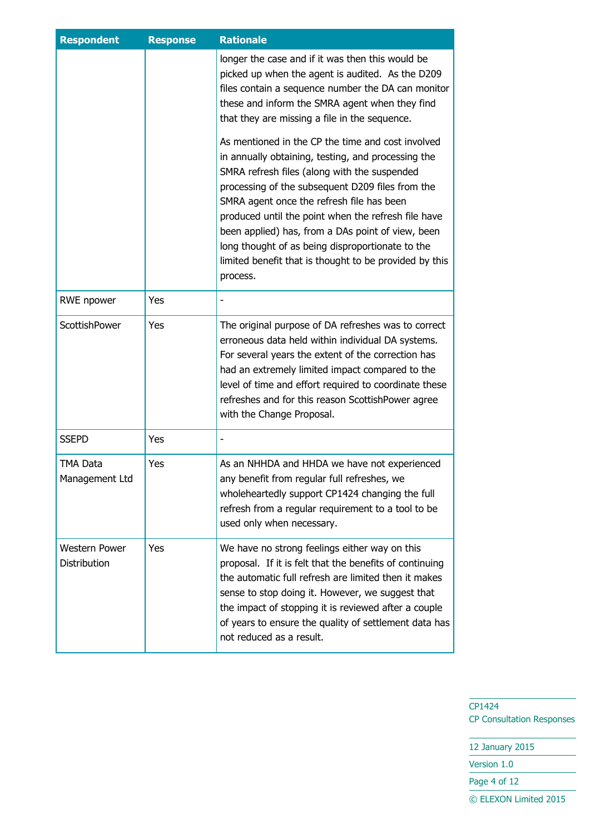| <b>Respondent</b>             | <b>Response</b> | <b>Rationale</b>                                                                                                                                                                                                                                                                                                                                                                                                                                                                               |
|-------------------------------|-----------------|------------------------------------------------------------------------------------------------------------------------------------------------------------------------------------------------------------------------------------------------------------------------------------------------------------------------------------------------------------------------------------------------------------------------------------------------------------------------------------------------|
|                               |                 | longer the case and if it was then this would be<br>picked up when the agent is audited. As the D209<br>files contain a sequence number the DA can monitor<br>these and inform the SMRA agent when they find<br>that they are missing a file in the sequence.                                                                                                                                                                                                                                  |
|                               |                 | As mentioned in the CP the time and cost involved<br>in annually obtaining, testing, and processing the<br>SMRA refresh files (along with the suspended<br>processing of the subsequent D209 files from the<br>SMRA agent once the refresh file has been<br>produced until the point when the refresh file have<br>been applied) has, from a DAs point of view, been<br>long thought of as being disproportionate to the<br>limited benefit that is thought to be provided by this<br>process. |
| <b>RWE npower</b>             | Yes             |                                                                                                                                                                                                                                                                                                                                                                                                                                                                                                |
| ScottishPower                 | Yes             | The original purpose of DA refreshes was to correct<br>erroneous data held within individual DA systems.<br>For several years the extent of the correction has<br>had an extremely limited impact compared to the<br>level of time and effort required to coordinate these<br>refreshes and for this reason ScottishPower agree<br>with the Change Proposal.                                                                                                                                   |
| <b>SSEPD</b>                  | Yes             |                                                                                                                                                                                                                                                                                                                                                                                                                                                                                                |
| TMA Data<br>Management Ltd    | Yes             | As an NHHDA and HHDA we have not experienced<br>any benefit from regular full refreshes, we<br>wholeheartedly support CP1424 changing the full<br>refresh from a regular requirement to a tool to be<br>used only when necessary.                                                                                                                                                                                                                                                              |
| Western Power<br>Distribution | Yes             | We have no strong feelings either way on this<br>proposal. If it is felt that the benefits of continuing<br>the automatic full refresh are limited then it makes<br>sense to stop doing it. However, we suggest that<br>the impact of stopping it is reviewed after a couple<br>of years to ensure the quality of settlement data has<br>not reduced as a result.                                                                                                                              |

CP1424 CP Consultation Responses

12 January 2015 Version 1.0

Page 4 of 12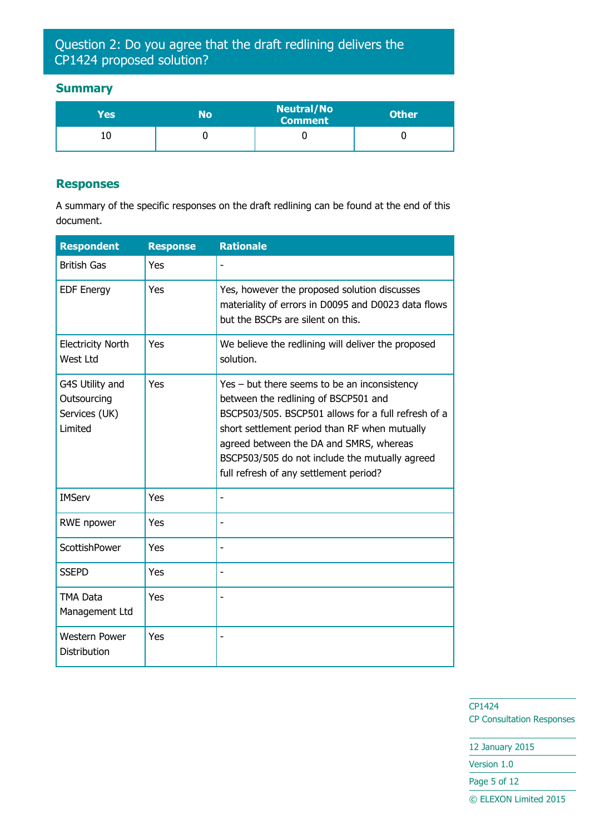Question 2: Do you agree that the draft redlining delivers the CP1424 proposed solution?

#### **Summary**

| Yes' | No | <b>Neutral/No</b><br><b>Comment</b> | <b>Other</b> |
|------|----|-------------------------------------|--------------|
|      |    |                                     |              |

#### **Responses**

A summary of the specific responses on the draft redlining can be found at the end of this document.

| <b>Respondent</b>                                          | <b>Response</b> | <b>Rationale</b>                                                                                                                                                                                                                                                                                                                      |
|------------------------------------------------------------|-----------------|---------------------------------------------------------------------------------------------------------------------------------------------------------------------------------------------------------------------------------------------------------------------------------------------------------------------------------------|
| <b>British Gas</b>                                         | Yes             |                                                                                                                                                                                                                                                                                                                                       |
| <b>EDF Energy</b>                                          | Yes             | Yes, however the proposed solution discusses<br>materiality of errors in D0095 and D0023 data flows<br>but the BSCPs are silent on this.                                                                                                                                                                                              |
| <b>Electricity North</b><br>West Ltd                       | Yes             | We believe the redlining will deliver the proposed<br>solution.                                                                                                                                                                                                                                                                       |
| G4S Utility and<br>Outsourcing<br>Services (UK)<br>Limited | Yes             | $Yes - but there seems to be an inconsistency$<br>between the redlining of BSCP501 and<br>BSCP503/505. BSCP501 allows for a full refresh of a<br>short settlement period than RF when mutually<br>agreed between the DA and SMRS, whereas<br>BSCP503/505 do not include the mutually agreed<br>full refresh of any settlement period? |
| <b>IMServ</b>                                              | Yes             | $\overline{\phantom{0}}$                                                                                                                                                                                                                                                                                                              |
| RWE npower                                                 | Yes             |                                                                                                                                                                                                                                                                                                                                       |
| ScottishPower                                              | Yes             |                                                                                                                                                                                                                                                                                                                                       |
| <b>SSEPD</b>                                               | Yes             | $\overline{\phantom{a}}$                                                                                                                                                                                                                                                                                                              |
| <b>TMA Data</b><br>Management Ltd                          | Yes             |                                                                                                                                                                                                                                                                                                                                       |
| <b>Western Power</b><br><b>Distribution</b>                | Yes             |                                                                                                                                                                                                                                                                                                                                       |

CP1424 CP Consultation Responses

12 January 2015

Version 1.0

Page 5 of 12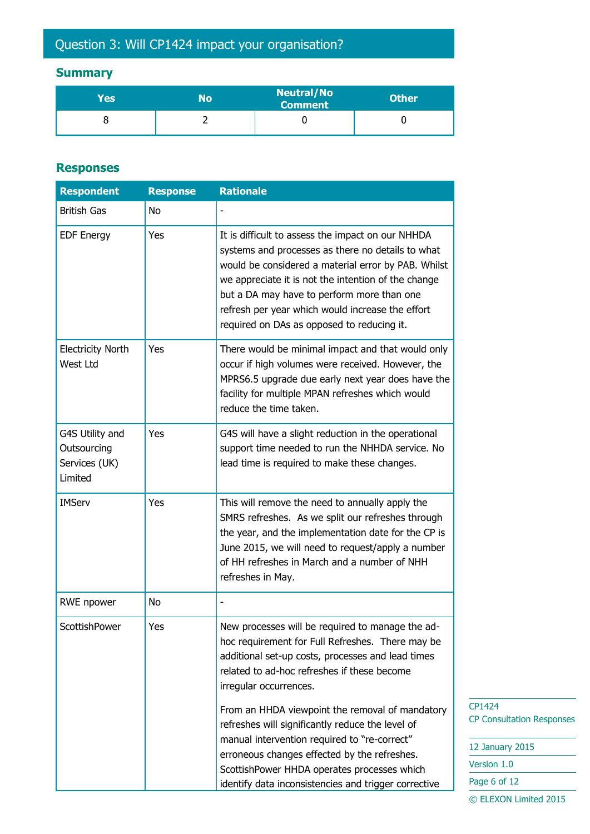## Question 3: Will CP1424 impact your organisation?

## **Summary**

| Yes | No | <b>Neutral/No</b><br>Comment | <b>Other</b> |
|-----|----|------------------------------|--------------|
|     |    |                              |              |

#### **Responses**

| <b>Respondent</b>                                          | <b>Response</b> | <b>Rationale</b>                                                                                                                                                                                                                                                                                                                                                     |
|------------------------------------------------------------|-----------------|----------------------------------------------------------------------------------------------------------------------------------------------------------------------------------------------------------------------------------------------------------------------------------------------------------------------------------------------------------------------|
| <b>British Gas</b>                                         | <b>No</b>       |                                                                                                                                                                                                                                                                                                                                                                      |
| <b>EDF Energy</b>                                          | Yes             | It is difficult to assess the impact on our NHHDA<br>systems and processes as there no details to what<br>would be considered a material error by PAB. Whilst<br>we appreciate it is not the intention of the change<br>but a DA may have to perform more than one<br>refresh per year which would increase the effort<br>required on DAs as opposed to reducing it. |
| <b>Electricity North</b><br>West Ltd                       | Yes             | There would be minimal impact and that would only<br>occur if high volumes were received. However, the<br>MPRS6.5 upgrade due early next year does have the<br>facility for multiple MPAN refreshes which would<br>reduce the time taken.                                                                                                                            |
| G4S Utility and<br>Outsourcing<br>Services (UK)<br>Limited | Yes             | G4S will have a slight reduction in the operational<br>support time needed to run the NHHDA service. No<br>lead time is required to make these changes.                                                                                                                                                                                                              |
| <b>IMServ</b>                                              | Yes             | This will remove the need to annually apply the<br>SMRS refreshes. As we split our refreshes through<br>the year, and the implementation date for the CP is<br>June 2015, we will need to request/apply a number<br>of HH refreshes in March and a number of NHH<br>refreshes in May.                                                                                |
| RWE npower                                                 | No              |                                                                                                                                                                                                                                                                                                                                                                      |
| ScottishPower                                              | Yes             | New processes will be required to manage the ad-<br>hoc requirement for Full Refreshes. There may be<br>additional set-up costs, processes and lead times<br>related to ad-hoc refreshes if these become<br>irregular occurrences.                                                                                                                                   |
|                                                            |                 | From an HHDA viewpoint the removal of mandatory<br>refreshes will significantly reduce the level of<br>manual intervention required to "re-correct"<br>erroneous changes effected by the refreshes.<br>ScottishPower HHDA operates processes which<br>identify data inconsistencies and trigger corrective                                                           |

CP1424 CP Consultation Responses

| 12 January 2015       |
|-----------------------|
| Version 1.0           |
| Page 6 of 12          |
| © ELEXON Limited 2015 |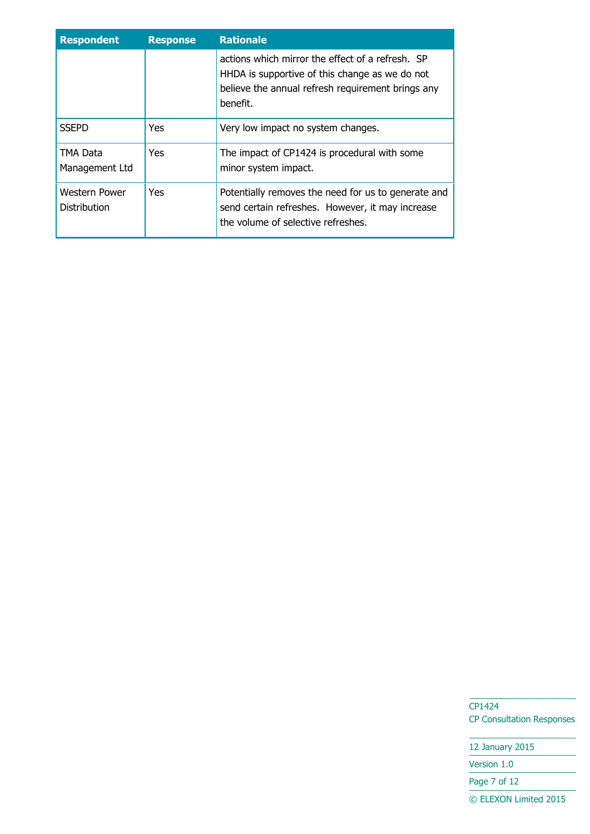| <b>Respondent</b>             | <b>Response</b> | <b>Rationale</b>                                                                                                                                                    |
|-------------------------------|-----------------|---------------------------------------------------------------------------------------------------------------------------------------------------------------------|
|                               |                 | actions which mirror the effect of a refresh. SP<br>HHDA is supportive of this change as we do not<br>believe the annual refresh requirement brings any<br>benefit. |
| <b>SSEPD</b>                  | Yes             | Very low impact no system changes.                                                                                                                                  |
| TMA Data<br>Management Ltd    | Yes.            | The impact of CP1424 is procedural with some<br>minor system impact.                                                                                                |
| Western Power<br>Distribution | Yes             | Potentially removes the need for us to generate and<br>send certain refreshes. However, it may increase<br>the volume of selective refreshes.                       |

CP1424 CP Consultation Responses

12 January 2015 Version 1.0 Page 7 of 12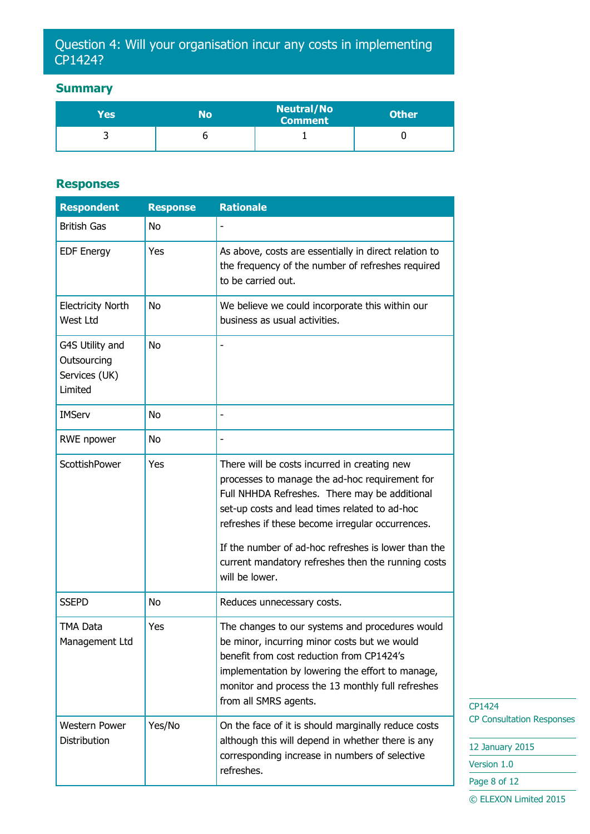#### Question 4: Will your organisation incur any costs in implementing CP1424?

#### **Summary**

| Yes | No | <b>Neutral/No</b><br><b>Comment</b> | <b>Other</b> |
|-----|----|-------------------------------------|--------------|
|     |    |                                     |              |

#### **Responses**

| <b>Respondent</b>                                          | <b>Response</b> | <b>Rationale</b>                                                                                                                                                                                                                                                                                                                                                                    |
|------------------------------------------------------------|-----------------|-------------------------------------------------------------------------------------------------------------------------------------------------------------------------------------------------------------------------------------------------------------------------------------------------------------------------------------------------------------------------------------|
| <b>British Gas</b>                                         | No              |                                                                                                                                                                                                                                                                                                                                                                                     |
| <b>EDF Energy</b>                                          | Yes             | As above, costs are essentially in direct relation to<br>the frequency of the number of refreshes required<br>to be carried out.                                                                                                                                                                                                                                                    |
| <b>Electricity North</b><br>West Ltd                       | No              | We believe we could incorporate this within our<br>business as usual activities.                                                                                                                                                                                                                                                                                                    |
| G4S Utility and<br>Outsourcing<br>Services (UK)<br>Limited | No              |                                                                                                                                                                                                                                                                                                                                                                                     |
| <b>IMServ</b>                                              | No              |                                                                                                                                                                                                                                                                                                                                                                                     |
| RWE npower                                                 | No              |                                                                                                                                                                                                                                                                                                                                                                                     |
| <b>ScottishPower</b>                                       | Yes             | There will be costs incurred in creating new<br>processes to manage the ad-hoc requirement for<br>Full NHHDA Refreshes. There may be additional<br>set-up costs and lead times related to ad-hoc<br>refreshes if these become irregular occurrences.<br>If the number of ad-hoc refreshes is lower than the<br>current mandatory refreshes then the running costs<br>will be lower. |
| <b>SSEPD</b>                                               | No              | Reduces unnecessary costs.                                                                                                                                                                                                                                                                                                                                                          |
| TMA Data<br>Management Ltd                                 | Yes             | The changes to our systems and procedures would<br>be minor, incurring minor costs but we would<br>benefit from cost reduction from CP1424's<br>implementation by lowering the effort to manage,<br>monitor and process the 13 monthly full refreshes<br>from all SMRS agents.                                                                                                      |
| <b>Western Power</b>                                       | Yes/No          | On the face of it is should marginally reduce costs                                                                                                                                                                                                                                                                                                                                 |
| Distribution                                               |                 | although this will depend in whether there is any<br>corresponding increase in numbers of selective                                                                                                                                                                                                                                                                                 |
|                                                            |                 | refreshes.                                                                                                                                                                                                                                                                                                                                                                          |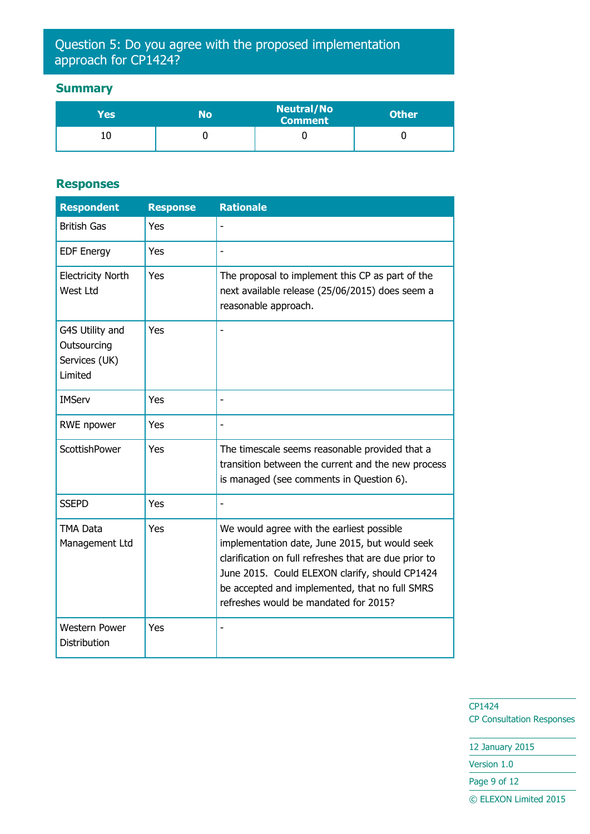#### Question 5: Do you agree with the proposed implementation approach for CP1424?

#### **Summary**

| Yes | No | <b>Neutral/No</b><br><b>Comment</b> | <b>Other</b> |
|-----|----|-------------------------------------|--------------|
|     |    |                                     |              |

#### **Responses**

| <b>Respondent</b>                                          | <b>Response</b> | <b>Rationale</b>                                                                                                                                                                                                                                                                                  |
|------------------------------------------------------------|-----------------|---------------------------------------------------------------------------------------------------------------------------------------------------------------------------------------------------------------------------------------------------------------------------------------------------|
| <b>British Gas</b>                                         | Yes             |                                                                                                                                                                                                                                                                                                   |
| <b>EDF Energy</b>                                          | Yes             |                                                                                                                                                                                                                                                                                                   |
| <b>Electricity North</b><br>West Ltd                       | Yes             | The proposal to implement this CP as part of the<br>next available release (25/06/2015) does seem a<br>reasonable approach.                                                                                                                                                                       |
| G4S Utility and<br>Outsourcing<br>Services (UK)<br>Limited | Yes             |                                                                                                                                                                                                                                                                                                   |
| <b>IMServ</b>                                              | Yes             |                                                                                                                                                                                                                                                                                                   |
| <b>RWE</b> npower                                          | Yes             |                                                                                                                                                                                                                                                                                                   |
| <b>ScottishPower</b>                                       | Yes             | The timescale seems reasonable provided that a<br>transition between the current and the new process<br>is managed (see comments in Question 6).                                                                                                                                                  |
| <b>SSEPD</b>                                               | Yes             |                                                                                                                                                                                                                                                                                                   |
| <b>TMA Data</b><br>Management Ltd                          | Yes             | We would agree with the earliest possible<br>implementation date, June 2015, but would seek<br>clarification on full refreshes that are due prior to<br>June 2015. Could ELEXON clarify, should CP1424<br>be accepted and implemented, that no full SMRS<br>refreshes would be mandated for 2015? |
| <b>Western Power</b><br><b>Distribution</b>                | Yes             |                                                                                                                                                                                                                                                                                                   |

CP1424 CP Consultation Responses

12 January 2015 Version 1.0

Page 9 of 12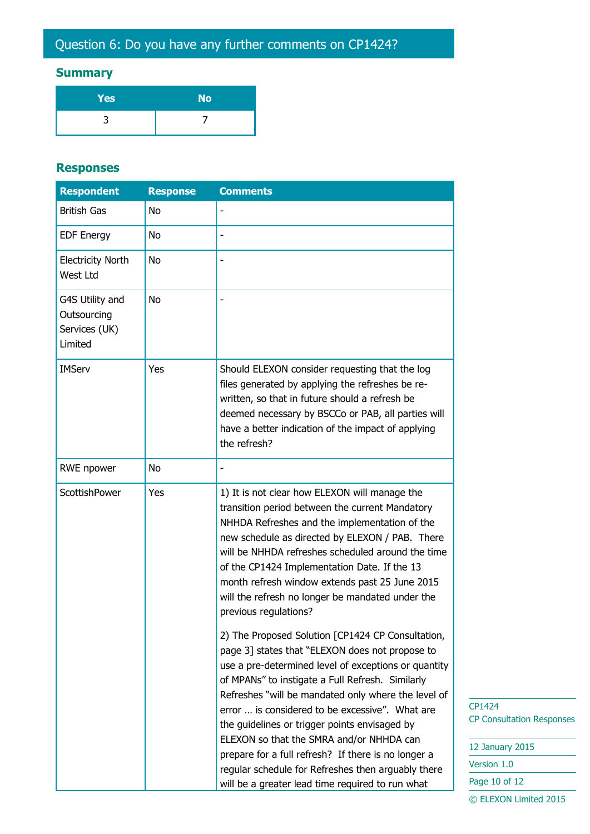#### **Summary**

| <b>Yes</b> | <b>No</b> |
|------------|-----------|
|            |           |

#### **Responses**

| <b>Respondent</b>                                          | <b>Response</b> | <b>Comments</b>                                                                                                                                                                                                                                                                                                                                                                                                                                                                                                                                                                          |
|------------------------------------------------------------|-----------------|------------------------------------------------------------------------------------------------------------------------------------------------------------------------------------------------------------------------------------------------------------------------------------------------------------------------------------------------------------------------------------------------------------------------------------------------------------------------------------------------------------------------------------------------------------------------------------------|
| <b>British Gas</b>                                         | <b>No</b>       |                                                                                                                                                                                                                                                                                                                                                                                                                                                                                                                                                                                          |
| <b>EDF Energy</b>                                          | No              |                                                                                                                                                                                                                                                                                                                                                                                                                                                                                                                                                                                          |
| <b>Electricity North</b><br>West Ltd                       | No              |                                                                                                                                                                                                                                                                                                                                                                                                                                                                                                                                                                                          |
| G4S Utility and<br>Outsourcing<br>Services (UK)<br>Limited | <b>No</b>       |                                                                                                                                                                                                                                                                                                                                                                                                                                                                                                                                                                                          |
| <b>IMServ</b>                                              | Yes             | Should ELEXON consider requesting that the log<br>files generated by applying the refreshes be re-<br>written, so that in future should a refresh be<br>deemed necessary by BSCCo or PAB, all parties will<br>have a better indication of the impact of applying<br>the refresh?                                                                                                                                                                                                                                                                                                         |
| RWE npower                                                 | No              |                                                                                                                                                                                                                                                                                                                                                                                                                                                                                                                                                                                          |
| ScottishPower                                              | Yes             | 1) It is not clear how ELEXON will manage the<br>transition period between the current Mandatory<br>NHHDA Refreshes and the implementation of the<br>new schedule as directed by ELEXON / PAB. There<br>will be NHHDA refreshes scheduled around the time<br>of the CP1424 Implementation Date. If the 13<br>month refresh window extends past 25 June 2015<br>will the refresh no longer be mandated under the<br>previous regulations?                                                                                                                                                 |
|                                                            |                 | 2) The Proposed Solution [CP1424 CP Consultation,<br>page 3] states that "ELEXON does not propose to<br>use a pre-determined level of exceptions or quantity<br>of MPANs" to instigate a Full Refresh. Similarly<br>Refreshes "will be mandated only where the level of<br>error  is considered to be excessive". What are<br>the guidelines or trigger points envisaged by<br>ELEXON so that the SMRA and/or NHHDA can<br>prepare for a full refresh? If there is no longer a<br>regular schedule for Refreshes then arguably there<br>will be a greater lead time required to run what |

P1424 P Consultation Responses

2 January 2015 ersion 1.0 age 10 of 12 © ELEXON Limited 2015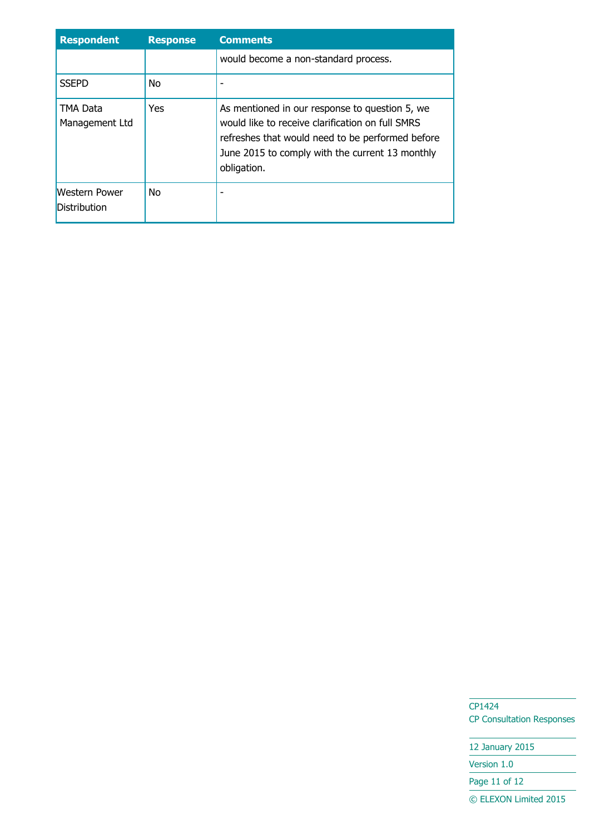| <b>Respondent</b>                           | <b>Response</b> | <b>Comments</b>                                                                                                                                                                                                          |
|---------------------------------------------|-----------------|--------------------------------------------------------------------------------------------------------------------------------------------------------------------------------------------------------------------------|
|                                             |                 | would become a non-standard process.                                                                                                                                                                                     |
| <b>SSEPD</b>                                | No.             |                                                                                                                                                                                                                          |
| TMA Data<br>Management Ltd                  | Yes             | As mentioned in our response to question 5, we<br>would like to receive clarification on full SMRS<br>refreshes that would need to be performed before<br>June 2015 to comply with the current 13 monthly<br>obligation. |
| <b>Western Power</b><br><b>Distribution</b> | No.             |                                                                                                                                                                                                                          |

CP1424 CP Consultation Responses

12 January 2015 Version 1.0 Page 11 of 12